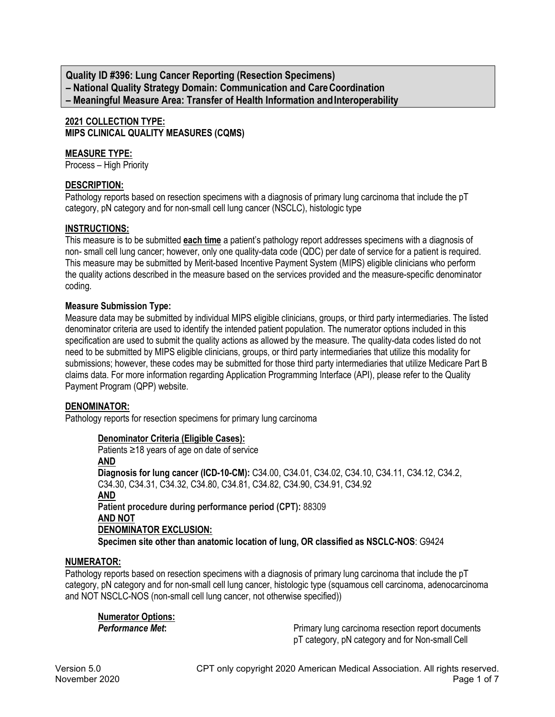**Quality ID #396: Lung Cancer Reporting (Resection Specimens) – National Quality Strategy Domain: Communication and CareCoordination – Meaningful Measure Area: Transfer of Health Information andInteroperability**

# **2021 COLLECTION TYPE: MIPS CLINICAL QUALITY MEASURES (CQMS)**

#### **MEASURE TYPE:**

Process – High Priority

#### **DESCRIPTION:**

Pathology reports based on resection specimens with a diagnosis of primary lung carcinoma that include the pT category, pN category and for non-small cell lung cancer (NSCLC), histologic type

#### **INSTRUCTIONS:**

This measure is to be submitted **each time** a patient's pathology report addresses specimens with a diagnosis of non- small cell lung cancer; however, only one quality-data code (QDC) per date of service for a patient is required. This measure may be submitted by Merit-based Incentive Payment System (MIPS) eligible clinicians who perform the quality actions described in the measure based on the services provided and the measure-specific denominator coding.

#### **Measure Submission Type:**

Measure data may be submitted by individual MIPS eligible clinicians, groups, or third party intermediaries. The listed denominator criteria are used to identify the intended patient population. The numerator options included in this specification are used to submit the quality actions as allowed by the measure. The quality-data codes listed do not need to be submitted by MIPS eligible clinicians, groups, or third party intermediaries that utilize this modality for submissions; however, these codes may be submitted for those third party intermediaries that utilize Medicare Part B claims data. For more information regarding Application Programming Interface (API), please refer to the Quality Payment Program (QPP) website.

#### **DENOMINATOR:**

Pathology reports for resection specimens for primary lung carcinoma

#### **Denominator Criteria (Eligible Cases):**

Patients ≥18 years of age on date of service **AND Diagnosis for lung cancer (ICD-10-CM):** C34.00, C34.01, C34.02, C34.10, C34.11, C34.12, C34.2, C34.30, C34.31, C34.32, C34.80, C34.81, C34.82, C34.90, C34.91, C34.92 **AND Patient procedure during performance period (CPT):** 88309 **AND NOT DENOMINATOR EXCLUSION: Specimen site other than anatomic location of lung, OR classified as NSCLC-NOS**: G9424

#### **NUMERATOR:**

Pathology reports based on resection specimens with a diagnosis of primary lung carcinoma that include the pT category, pN category and for non-small cell lung cancer, histologic type (squamous cell carcinoma, adenocarcinoma and NOT NSCLC-NOS (non-small cell lung cancer, not otherwise specified))

**Numerator Options:**

**Primary lung carcinoma resection report documents** pT category, pN category and for Non-small Cell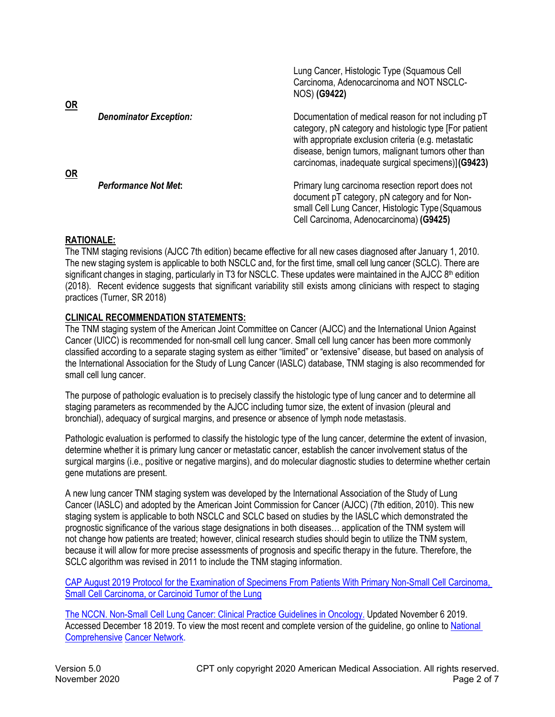| $OR$      |                               | Lung Cancer, Histologic Type (Squamous Cell<br>Carcinoma, Adenocarcinoma and NOT NSCLC-<br>NOS) (G9422)                                                                                                                                                                             |
|-----------|-------------------------------|-------------------------------------------------------------------------------------------------------------------------------------------------------------------------------------------------------------------------------------------------------------------------------------|
| <b>OR</b> | <b>Denominator Exception:</b> | Documentation of medical reason for not including pT<br>category, pN category and histologic type [For patient<br>with appropriate exclusion criteria (e.g. metastatic<br>disease, benign tumors, malignant tumors other than<br>carcinomas, inadequate surgical specimens)](G9423) |
|           | <b>Performance Not Met:</b>   | Primary lung carcinoma resection report does not<br>document pT category, pN category and for Non-<br>small Cell Lung Cancer, Histologic Type (Squamous<br>Cell Carcinoma, Adenocarcinoma) (G9425)                                                                                  |

 $L_{\text{L}}$ 

## **RATIONALE:**

The TNM staging revisions (AJCC 7th edition) became effective for all new cases diagnosed after January 1, 2010. The new staging system is applicable to both NSCLC and, for the first time, small cell lung cancer (SCLC). There are significant changes in staging, particularly in T3 for NSCLC. These updates were maintained in the AJCC 8<sup>th</sup> edition (2018). Recent evidence suggests that significant variability still exists among clinicians with respect to staging practices (Turner, SR 2018)

## **CLINICAL RECOMMENDATION STATEMENTS:**

The TNM staging system of the American Joint Committee on Cancer (AJCC) and the International Union Against Cancer (UICC) is recommended for non-small cell lung cancer. Small cell lung cancer has been more commonly classified according to a separate staging system as either "limited" or "extensive" disease, but based on analysis of the International Association for the Study of Lung Cancer (IASLC) database, TNM staging is also recommended for small cell lung cancer.

The purpose of pathologic evaluation is to precisely classify the histologic type of lung cancer and to determine all staging parameters as recommended by the AJCC including tumor size, the extent of invasion (pleural and bronchial), adequacy of surgical margins, and presence or absence of lymph node metastasis.

Pathologic evaluation is performed to classify the histologic type of the lung cancer, determine the extent of invasion, determine whether it is primary lung cancer or metastatic cancer, establish the cancer involvement status of the surgical margins (i.e., positive or negative margins), and do molecular diagnostic studies to determine whether certain gene mutations are present.

A new lung cancer TNM staging system was developed by the International Association of the Study of Lung Cancer (IASLC) and adopted by the American Joint Commission for Cancer (AJCC) (7th edition, 2010). This new staging system is applicable to both NSCLC and SCLC based on studies by the IASLC which demonstrated the prognostic significance of the various stage designations in both diseases… application of the TNM system will not change how patients are treated; however, clinical research studies should begin to utilize the TNM system, because it will allow for more precise assessments of prognosis and specific therapy in the future. Therefore, the SCLC algorithm was revised in 2011 to include the TNM staging information.

CAP August 2019 Protocol for the Examination of Specimens From [Patients With Primary Non-Small Cell Carcinoma,](https://documents.cap.org/protocols/cp-thorax-lung-resection-19-4100.pdf)  Small Cell Carcinoma, or Carcinoid Tumor of the Lung

[The NCCN. Non-Small Cell Lung Cancer: Clinical Practice Guidelines in Oncology.](https://www.nccn.org/professionals/physician_gls/pdf/nscl.pdf) Updated November 6 2019. Accessed December 18 2019. To view the most recent and complete version of the guideline, go online to National Comprehensive [Cancer Network.](http://www.nccn.org/)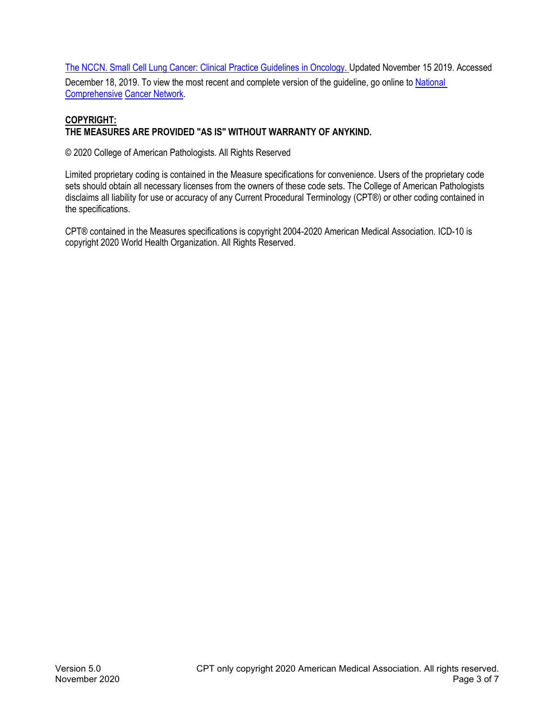[The NCCN. Small Cell Lung Cancer: Clinical Practice Guidelines in Oncology.](https://www.nccn.org/professionals/physician_gls/pdf/sclc.pdf) Updated November 15 2019. Accessed

December 18, 2019. To view the most recent and complete version of the guideline, go online to [National](http://www.nccn.org/)  Comprehensive [Cancer Network.](http://www.nccn.org/)

## **COPYRIGHT: THE MEASURES ARE PROVIDED "AS IS" WITHOUT WARRANTY OF ANYKIND.**

© 2020 College of American Pathologists. All Rights Reserved

Limited proprietary coding is contained in the Measure specifications for convenience. Users of the proprietary code sets should obtain all necessary licenses from the owners of these code sets. The College of American Pathologists disclaims all liability for use or accuracy of any Current Procedural Terminology (CPT®) or other coding contained in the specifications.

CPT® contained in the Measures specifications is copyright 2004-2020 American Medical Association. ICD-10 is copyright 2020 World Health Organization. All Rights Reserved.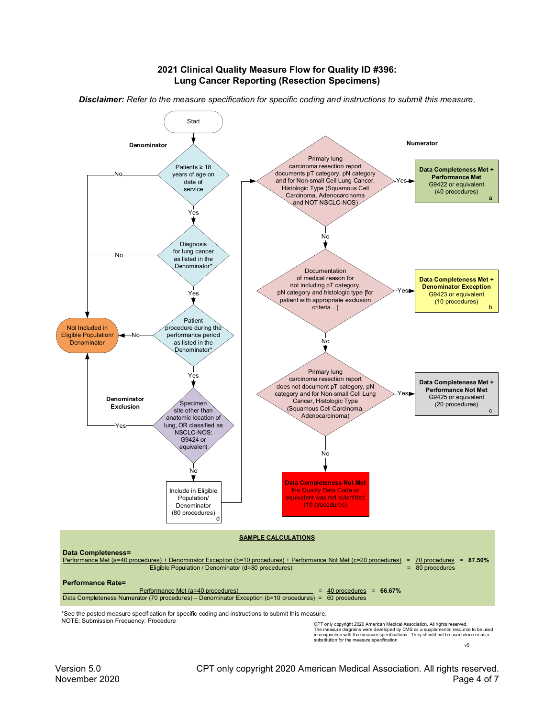#### **2021 Clinical Quality Measure Flow for Quality ID #396: Lung Cancer Reporting (Resection Specimens)**



*Disclaimer: Refer to the measure specification for specific coding and instructions to submit this measure.*

CPT only copyright 2020 American Medical Association. All rights reserved. The measure diagrams were developed by CMS as a supplemental resource to be used in conjunction with the measure specifications. They should not be used alone or as a substitution for the measure specification.

 $\sqrt{5}$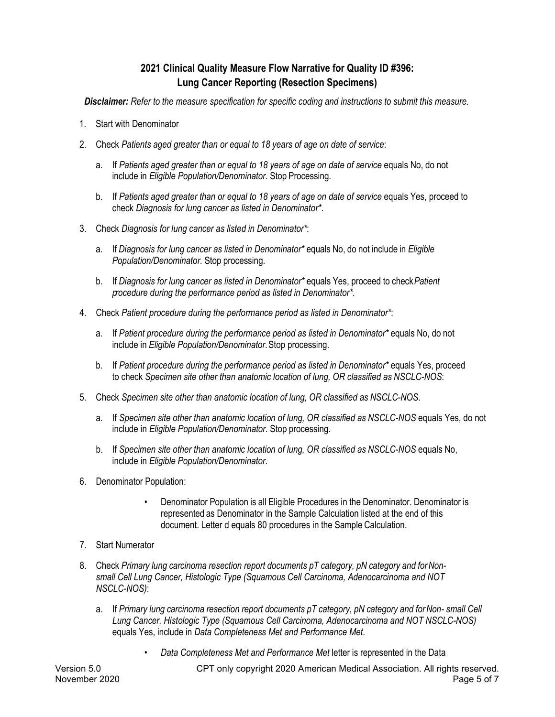# **2021 Clinical Quality Measure Flow Narrative for Quality ID #396: Lung Cancer Reporting (Resection Specimens)**

*Disclaimer: Refer to the measure specification for specific coding and instructions to submit this measure.*

- 1. Start with Denominator
- 2. Check *Patients aged greater than or equal to 18 years of age on date of service*:
	- a. If *Patients aged greater than or equal to 18 years of age on date of service* equals No, do not include in *Eligible Population/Denominator*. Stop Processing.
	- b. If *Patients aged greater than or equal to 18 years of age on date of service* equals Yes, proceed to check *Diagnosis for lung cancer as listed in Denominator\**.
- 3. Check *Diagnosis for lung cancer as listed in Denominator\**:
	- a. If *Diagnosis for lung cancer as listed in Denominator\** equals No, do not include in *Eligible Population/Denominator*. Stop processing.
	- b. If *Diagnosis for lung cancer as listed in Denominator\** equals Yes, proceed to check*Patient procedure during the performance period as listed in Denominator\**.
- 4. Check *Patient procedure during the performance period as listed in Denominator\**:
	- a. If *Patient procedure during the performance period as listed in Denominator\** equals No, do not include in *Eligible Population/Denominator*. Stop processing.
	- b. If *Patient procedure during the performance period as listed in Denominator\** equals Yes, proceed to check *Specimen site other than anatomic location of lung, OR classified as NSCLC-NOS*:
- 5. Check *Specimen site other than anatomic location of lung, OR classified as NSCLC-NOS*.
	- a. If *Specimen site other than anatomic location of lung, OR classified as NSCLC-NOS* equals Yes, do not include in *Eligible Population/Denominator*. Stop processing.
	- b. If *Specimen site other than anatomic location of lung, OR classified as NSCLC-NOS* equals No, include in *Eligible Population/Denominator*.
- 6. Denominator Population:
	- Denominator Population is all Eligible Procedures in the Denominator. Denominator is represented as Denominator in the Sample Calculation listed at the end of this document. Letter d equals 80 procedures in the Sample Calculation.
- 7. Start Numerator
- 8. Check *Primary lung carcinoma resection report documents pT category, pN category and forNonsmall Cell Lung Cancer, Histologic Type (Squamous Cell Carcinoma, Adenocarcinoma and NOT NSCLC-NOS)*:
	- a. If *Primary lung carcinoma resection report documents pT category, pN category and for Non- small Cell Lung Cancer, Histologic Type (Squamous Cell Carcinoma, Adenocarcinoma and NOT NSCLC-NOS)* equals Yes, include in *Data Completeness Met and Performance Met*.
		- *Data Completeness Met and Performance Met* letter is represented in the Data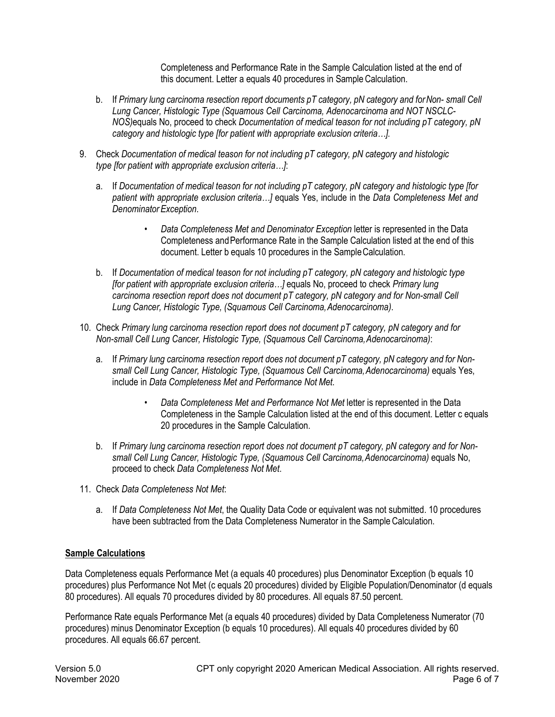Completeness and Performance Rate in the Sample Calculation listed at the end of this document. Letter a equals 40 procedures in Sample Calculation.

- b. If *Primary lung carcinoma resection report documents pT category, pN category and for Non- small Cell Lung Cancer, Histologic Type (Squamous Cell Carcinoma, Adenocarcinoma and NOT NSCLC-NOS)*equals No, proceed to check *Documentation of medical teason for not including pT category, pN category and histologic type [for patient with appropriate exclusion criteria…].*
- 9. Check *Documentation of medical teason for not including pT category, pN category and histologic type [for patient with appropriate exclusion criteria…]*:
	- a. If *Documentation of medical teason for not including pT category, pN category and histologic type [for patient with appropriate exclusion criteria…]* equals Yes, include in the *Data Completeness Met and Denominator Exception*.
		- *Data Completeness Met and Denominator Exception* letter is represented in the Data Completeness andPerformance Rate in the Sample Calculation listed at the end of this document. Letter b equals 10 procedures in the SampleCalculation.
	- b. If *Documentation of medical teason for not including pT category, pN category and histologic type [for patient with appropriate exclusion criteria…]* equals No, proceed to check *Primary lung carcinoma resection report does not document pT category, pN category and for Non-small Cell Lung Cancer, Histologic Type, (Squamous Cell Carcinoma,Adenocarcinoma)*.
- 10. Check *Primary lung carcinoma resection report does not document pT category, pN category and for Non-small Cell Lung Cancer, Histologic Type, (Squamous Cell Carcinoma,Adenocarcinoma)*:
	- a. If *Primary lung carcinoma resection report does not document pT category, pN category and for Nonsmall Cell Lung Cancer, Histologic Type, (Squamous Cell Carcinoma,Adenocarcinoma)* equals Yes, include in *Data Completeness Met and Performance Not Met*.
		- *Data Completeness Met and Performance Not Met* letter is represented in the Data Completeness in the Sample Calculation listed at the end of this document. Letter c equals 20 procedures in the Sample Calculation.
	- b. If *Primary lung carcinoma resection report does not document pT category, pN category and for Nonsmall Cell Lung Cancer, Histologic Type, (Squamous Cell Carcinoma,Adenocarcinoma)* equals No, proceed to check *Data Completeness Not Met*.
- 11. Check *Data Completeness Not Met*:
	- a. If *Data Completeness Not Met*, the Quality Data Code or equivalent was not submitted. 10 procedures have been subtracted from the Data Completeness Numerator in the Sample Calculation.

# **Sample Calculations**

Data Completeness equals Performance Met (a equals 40 procedures) plus Denominator Exception (b equals 10 procedures) plus Performance Not Met (c equals 20 procedures) divided by Eligible Population/Denominator (d equals 80 procedures). All equals 70 procedures divided by 80 procedures. All equals 87.50 percent.

Performance Rate equals Performance Met (a equals 40 procedures) divided by Data Completeness Numerator (70 procedures) minus Denominator Exception (b equals 10 procedures). All equals 40 procedures divided by 60 procedures. All equals 66.67 percent.